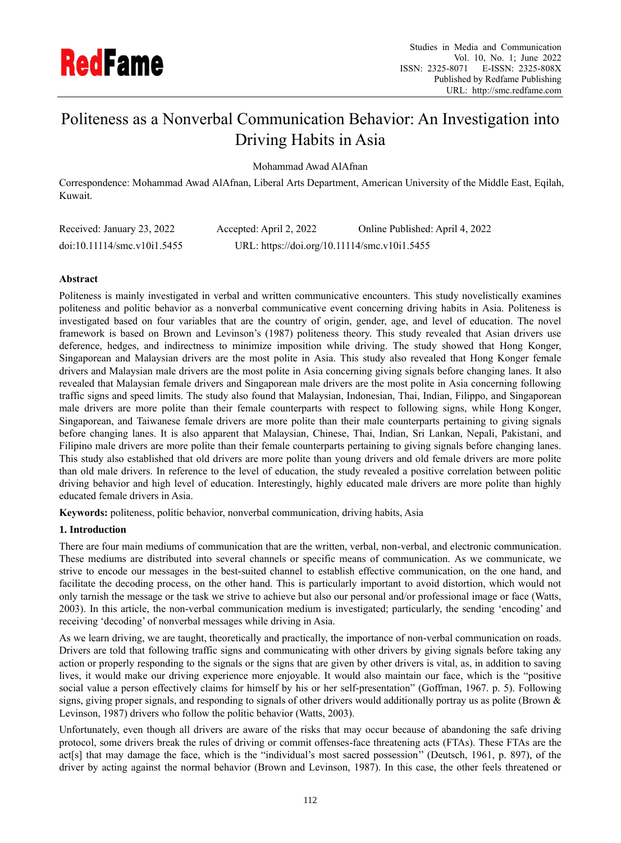

# Politeness as a Nonverbal Communication Behavior: An Investigation into Driving Habits in Asia

Mohammad Awad AlAfnan

Correspondence: Mohammad Awad AlAfnan, Liberal Arts Department, American University of the Middle East, Eqilah, Kuwait.

| Received: January 23, 2022           | Accepted: April 2, 2022                      | Online Published: April 4, 2022 |
|--------------------------------------|----------------------------------------------|---------------------------------|
| $doi:10.11114/\text{smc.v10i1.5455}$ | URL: https://doi.org/10.11114/smc.v10i1.5455 |                                 |

### **Abstract**

Politeness is mainly investigated in verbal and written communicative encounters. This study novelistically examines politeness and politic behavior as a nonverbal communicative event concerning driving habits in Asia. Politeness is investigated based on four variables that are the country of origin, gender, age, and level of education. The novel framework is based on Brown and Levinson's (1987) politeness theory. This study revealed that Asian drivers use deference, hedges, and indirectness to minimize imposition while driving. The study showed that Hong Konger, Singaporean and Malaysian drivers are the most polite in Asia. This study also revealed that Hong Konger female drivers and Malaysian male drivers are the most polite in Asia concerning giving signals before changing lanes. It also revealed that Malaysian female drivers and Singaporean male drivers are the most polite in Asia concerning following traffic signs and speed limits. The study also found that Malaysian, Indonesian, Thai, Indian, Filippo, and Singaporean male drivers are more polite than their female counterparts with respect to following signs, while Hong Konger, Singaporean, and Taiwanese female drivers are more polite than their male counterparts pertaining to giving signals before changing lanes. It is also apparent that Malaysian, Chinese, Thai, Indian, Sri Lankan, Nepali, Pakistani, and Filipino male drivers are more polite than their female counterparts pertaining to giving signals before changing lanes. This study also established that old drivers are more polite than young drivers and old female drivers are more polite than old male drivers. In reference to the level of education, the study revealed a positive correlation between politic driving behavior and high level of education. Interestingly, highly educated male drivers are more polite than highly educated female drivers in Asia.

**Keywords:** politeness, politic behavior, nonverbal communication, driving habits, Asia

## **1. Introduction**

There are four main mediums of communication that are the written, verbal, non-verbal, and electronic communication. These mediums are distributed into several channels or specific means of communication. As we communicate, we strive to encode our messages in the best-suited channel to establish effective communication, on the one hand, and facilitate the decoding process, on the other hand. This is particularly important to avoid distortion, which would not only tarnish the message or the task we strive to achieve but also our personal and/or professional image or face (Watts, 2003). In this article, the non-verbal communication medium is investigated; particularly, the sending 'encoding' and receiving 'decoding' of nonverbal messages while driving in Asia.

As we learn driving, we are taught, theoretically and practically, the importance of non-verbal communication on roads. Drivers are told that following traffic signs and communicating with other drivers by giving signals before taking any action or properly responding to the signals or the signs that are given by other drivers is vital, as, in addition to saving lives, it would make our driving experience more enjoyable. It would also maintain our face, which is the "positive social value a person effectively claims for himself by his or her self-presentation" (Goffman, 1967. p. 5). Following signs, giving proper signals, and responding to signals of other drivers would additionally portray us as polite (Brown & Levinson, 1987) drivers who follow the politic behavior (Watts, 2003).

Unfortunately, even though all drivers are aware of the risks that may occur because of abandoning the safe driving protocol, some drivers break the rules of driving or commit offenses-face threatening acts (FTAs). These FTAs are the act[s] that may damage the face, which is the "individual's most sacred possession'' (Deutsch, 1961, p. 897), of the driver by acting against the normal behavior (Brown and Levinson, 1987). In this case, the other feels threatened or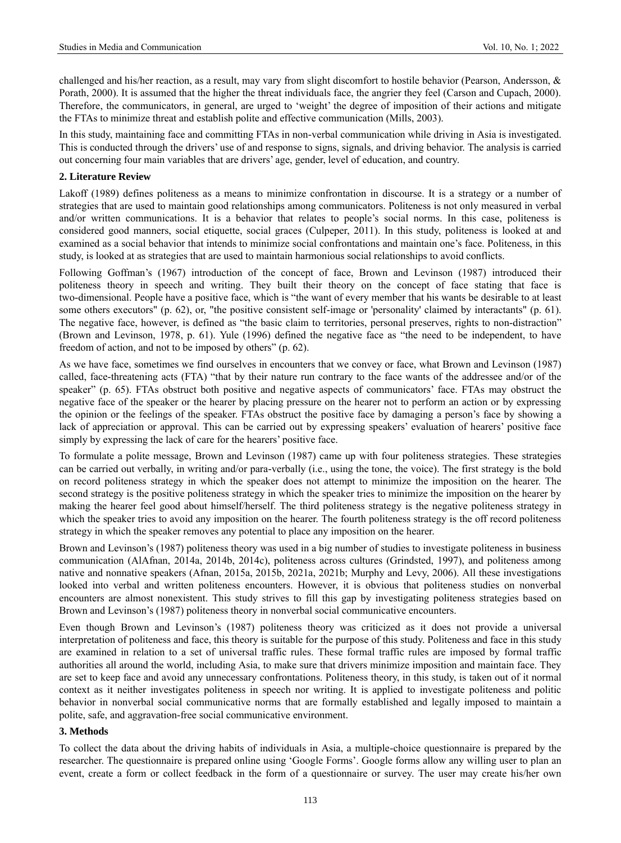challenged and his/her reaction, as a result, may vary from slight discomfort to hostile behavior (Pearson, Andersson, & Porath, 2000). It is assumed that the higher the threat individuals face, the angrier they feel (Carson and Cupach, 2000). Therefore, the communicators, in general, are urged to 'weight' the degree of imposition of their actions and mitigate the FTAs to minimize threat and establish polite and effective communication (Mills, 2003).

In this study, maintaining face and committing FTAs in non-verbal communication while driving in Asia is investigated. This is conducted through the drivers' use of and response to signs, signals, and driving behavior. The analysis is carried out concerning four main variables that are drivers' age, gender, level of education, and country.

#### **2. Literature Review**

Lakoff (1989) defines politeness as a means to minimize confrontation in discourse. It is a strategy or a number of strategies that are used to maintain good relationships among communicators. Politeness is not only measured in verbal and/or written communications. It is a behavior that relates to people's social norms. In this case, politeness is considered good manners, social etiquette, social graces (Culpeper, 2011). In this study, politeness is looked at and examined as a social behavior that intends to minimize social confrontations and maintain one's face. Politeness, in this study, is looked at as strategies that are used to maintain harmonious social relationships to avoid conflicts.

Following Goffman's (1967) introduction of the concept of face, Brown and Levinson (1987) introduced their politeness theory in speech and writing. They built their theory on the concept of face stating that face is two-dimensional. People have a positive face, which is "the want of every member that his wants be desirable to at least some others executors" (p. 62), or, "the positive consistent self-image or 'personality' claimed by interactants" (p. 61). The negative face, however, is defined as "the basic claim to territories, personal preserves, rights to non-distraction" (Brown and Levinson, 1978, p. 61). Yule (1996) defined the negative face as "the need to be independent, to have freedom of action, and not to be imposed by others" (p. 62).

As we have face, sometimes we find ourselves in encounters that we convey or face, what Brown and Levinson (1987) called, face-threatening acts (FTA) "that by their nature run contrary to the face wants of the addressee and/or of the speaker" (p. 65). FTAs obstruct both positive and negative aspects of communicators' face. FTAs may obstruct the negative face of the speaker or the hearer by placing pressure on the hearer not to perform an action or by expressing the opinion or the feelings of the speaker. FTAs obstruct the positive face by damaging a person's face by showing a lack of appreciation or approval. This can be carried out by expressing speakers' evaluation of hearers' positive face simply by expressing the lack of care for the hearers' positive face.

To formulate a polite message, Brown and Levinson (1987) came up with four politeness strategies. These strategies can be carried out verbally, in writing and/or para-verbally (i.e., using the tone, the voice). The first strategy is the bold on record politeness strategy in which the speaker does not attempt to minimize the imposition on the hearer. The second strategy is the positive politeness strategy in which the speaker tries to minimize the imposition on the hearer by making the hearer feel good about himself/herself. The third politeness strategy is the negative politeness strategy in which the speaker tries to avoid any imposition on the hearer. The fourth politeness strategy is the off record politeness strategy in which the speaker removes any potential to place any imposition on the hearer.

Brown and Levinson's (1987) politeness theory was used in a big number of studies to investigate politeness in business communication (AlAfnan, 2014a, 2014b, 2014c), politeness across cultures (Grindsted, 1997), and politeness among native and nonnative speakers (Afnan, 2015a, 2015b, 2021a, 2021b; Murphy and Levy, 2006). All these investigations looked into verbal and written politeness encounters. However, it is obvious that politeness studies on nonverbal encounters are almost nonexistent. This study strives to fill this gap by investigating politeness strategies based on Brown and Levinson's (1987) politeness theory in nonverbal social communicative encounters.

Even though Brown and Levinson's (1987) politeness theory was criticized as it does not provide a universal interpretation of politeness and face, this theory is suitable for the purpose of this study. Politeness and face in this study are examined in relation to a set of universal traffic rules. These formal traffic rules are imposed by formal traffic authorities all around the world, including Asia, to make sure that drivers minimize imposition and maintain face. They are set to keep face and avoid any unnecessary confrontations. Politeness theory, in this study, is taken out of it normal context as it neither investigates politeness in speech nor writing. It is applied to investigate politeness and politic behavior in nonverbal social communicative norms that are formally established and legally imposed to maintain a polite, safe, and aggravation-free social communicative environment.

#### **3. Methods**

To collect the data about the driving habits of individuals in Asia, a multiple-choice questionnaire is prepared by the researcher. The questionnaire is prepared online using 'Google Forms'. Google forms allow any willing user to plan an event, create a form or collect feedback in the form of a questionnaire or survey. The user may create his/her own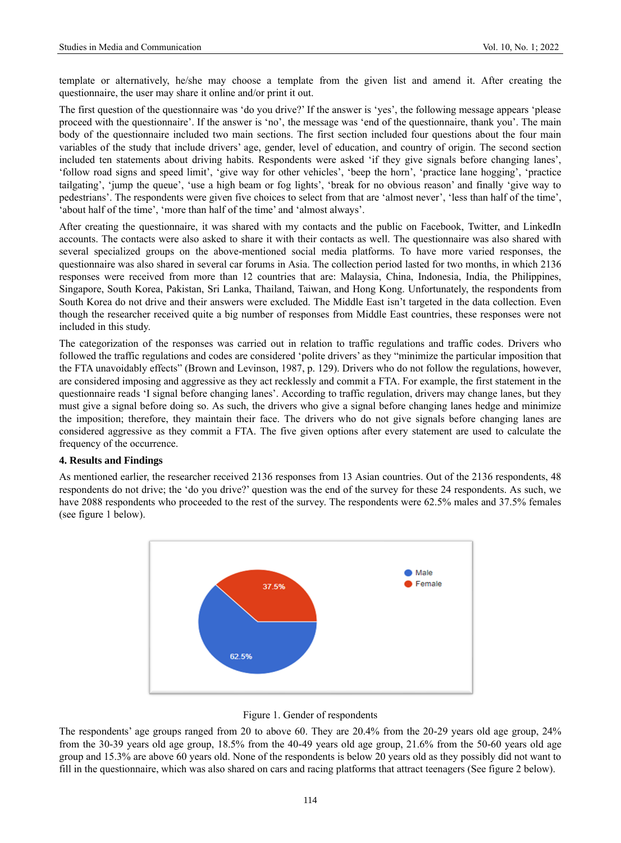template or alternatively, he/she may choose a template from the given list and amend it. After creating the questionnaire, the user may share it online and/or print it out.

The first question of the questionnaire was 'do you drive?' If the answer is 'yes', the following message appears 'please proceed with the questionnaire'. If the answer is 'no', the message was 'end of the questionnaire, thank you'. The main body of the questionnaire included two main sections. The first section included four questions about the four main variables of the study that include drivers' age, gender, level of education, and country of origin. The second section included ten statements about driving habits. Respondents were asked 'if they give signals before changing lanes', 'follow road signs and speed limit', 'give way for other vehicles', 'beep the horn', 'practice lane hogging', 'practice tailgating', 'jump the queue', 'use a high beam or fog lights', 'break for no obvious reason' and finally 'give way to pedestrians'. The respondents were given five choices to select from that are 'almost never', 'less than half of the time', 'about half of the time', 'more than half of the time' and 'almost always'.

After creating the questionnaire, it was shared with my contacts and the public on Facebook, Twitter, and LinkedIn accounts. The contacts were also asked to share it with their contacts as well. The questionnaire was also shared with several specialized groups on the above-mentioned social media platforms. To have more varied responses, the questionnaire was also shared in several car forums in Asia. The collection period lasted for two months, in which 2136 responses were received from more than 12 countries that are: Malaysia, China, Indonesia, India, the Philippines, Singapore, South Korea, Pakistan, Sri Lanka, Thailand, Taiwan, and Hong Kong. Unfortunately, the respondents from South Korea do not drive and their answers were excluded. The Middle East isn't targeted in the data collection. Even though the researcher received quite a big number of responses from Middle East countries, these responses were not included in this study.

The categorization of the responses was carried out in relation to traffic regulations and traffic codes. Drivers who followed the traffic regulations and codes are considered 'polite drivers' as they "minimize the particular imposition that the FTA unavoidably effects" (Brown and Levinson, 1987, p. 129). Drivers who do not follow the regulations, however, are considered imposing and aggressive as they act recklessly and commit a FTA. For example, the first statement in the questionnaire reads 'I signal before changing lanes'. According to traffic regulation, drivers may change lanes, but they must give a signal before doing so. As such, the drivers who give a signal before changing lanes hedge and minimize the imposition; therefore, they maintain their face. The drivers who do not give signals before changing lanes are considered aggressive as they commit a FTA. The five given options after every statement are used to calculate the frequency of the occurrence.

#### **4. Results and Findings**

As mentioned earlier, the researcher received 2136 responses from 13 Asian countries. Out of the 2136 respondents, 48 respondents do not drive; the 'do you drive?' question was the end of the survey for these 24 respondents. As such, we have 2088 respondents who proceeded to the rest of the survey. The respondents were 62.5% males and 37.5% females (see figure 1 below).





The respondents' age groups ranged from 20 to above 60. They are 20.4% from the 20-29 years old age group, 24% from the 30-39 years old age group, 18.5% from the 40-49 years old age group, 21.6% from the 50-60 years old age group and 15.3% are above 60 years old. None of the respondents is below 20 years old as they possibly did not want to fill in the questionnaire, which was also shared on cars and racing platforms that attract teenagers (See figure 2 below).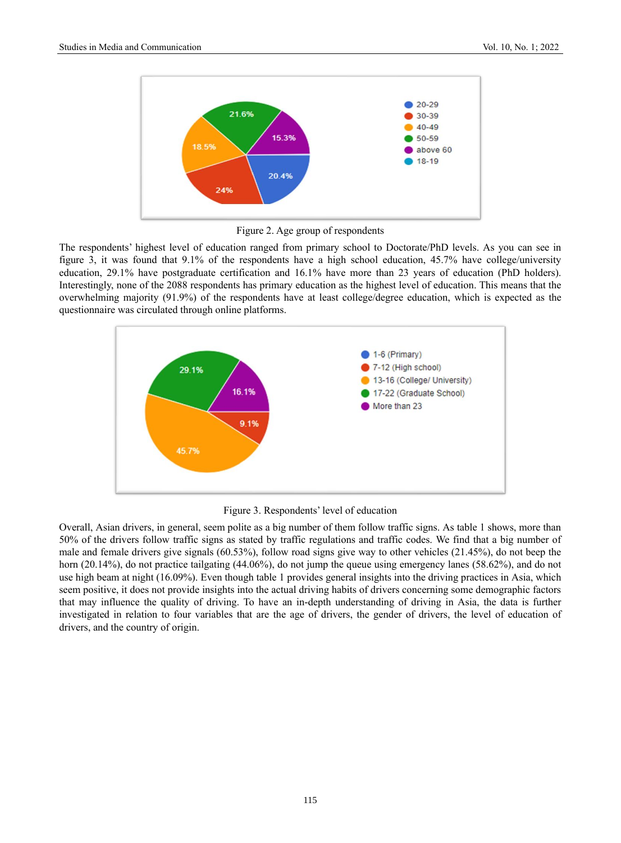

Figure 2. Age group of respondents

The respondents' highest level of education ranged from primary school to Doctorate/PhD levels. As you can see in figure 3, it was found that 9.1% of the respondents have a high school education, 45.7% have college/university education, 29.1% have postgraduate certification and 16.1% have more than 23 years of education (PhD holders). Interestingly, none of the 2088 respondents has primary education as the highest level of education. This means that the overwhelming majority (91.9%) of the respondents have at least college/degree education, which is expected as the questionnaire was circulated through online platforms.



Figure 3. Respondents' level of education

Overall, Asian drivers, in general, seem polite as a big number of them follow traffic signs. As table 1 shows, more than 50% of the drivers follow traffic signs as stated by traffic regulations and traffic codes. We find that a big number of male and female drivers give signals (60.53%), follow road signs give way to other vehicles (21.45%), do not beep the horn (20.14%), do not practice tailgating (44.06%), do not jump the queue using emergency lanes (58.62%), and do not use high beam at night (16.09%). Even though table 1 provides general insights into the driving practices in Asia, which seem positive, it does not provide insights into the actual driving habits of drivers concerning some demographic factors that may influence the quality of driving. To have an in-depth understanding of driving in Asia, the data is further investigated in relation to four variables that are the age of drivers, the gender of drivers, the level of education of drivers, and the country of origin.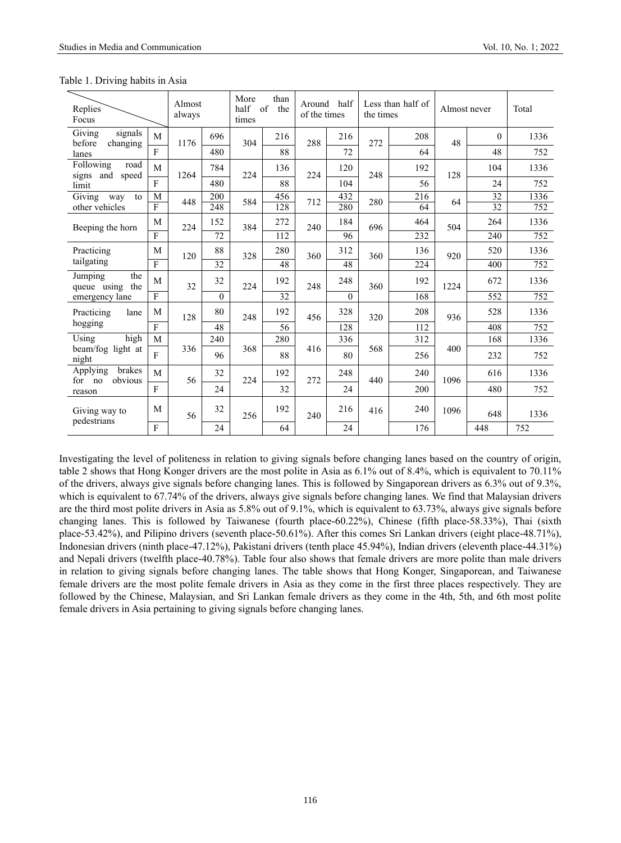| Replies<br>Focus                                      |                | Almost<br>always |          | More<br>than<br>half<br>$\sigma$<br>the<br>times |     |     | Around half<br>of the times |     | Less than half of<br>the times | Almost never |          | Total |
|-------------------------------------------------------|----------------|------------------|----------|--------------------------------------------------|-----|-----|-----------------------------|-----|--------------------------------|--------------|----------|-------|
| $\overline{G}$ iving<br>signals<br>before<br>changing | M              | 1176             | 696      | 304                                              | 216 | 288 | 216                         | 272 | 208                            | 48           | $\theta$ | 1336  |
| lanes                                                 | $\mathbf{F}$   |                  | 480      |                                                  | 88  |     | 72                          |     | 64                             |              | 48       | 752   |
| Following<br>road<br>speed<br>signs and               | M              | 1264             | 784      | 224                                              | 136 | 224 | 120                         | 248 | 192                            | 128          | 104      | 1336  |
| limit                                                 | $\mathbf{F}$   |                  | 480      |                                                  | 88  |     | 104                         |     | 56                             |              | 24       | 752   |
| Giving<br>way<br>to                                   | M              | 448              | 200      | 584                                              | 456 | 712 | 432                         | 280 | 216                            | 64           | 32       | 1336  |
| other vehicles                                        | $\overline{F}$ |                  | 248      |                                                  | 128 |     | 280                         |     | 64                             |              | 32       | 752   |
| Beeping the horn                                      | M              | 224              | 152      | 384                                              | 272 | 240 | 184                         | 696 | 464                            | 504          | 264      | 1336  |
|                                                       | $\mathbf{F}$   |                  | 72       |                                                  | 112 |     | 96                          |     | 232                            |              | 240      | 752   |
| Practicing                                            | M              | 120              | 88       | 328                                              | 280 | 360 | 312                         | 360 | 136                            | 920          | 520      | 1336  |
| tailgating                                            | $\overline{F}$ |                  | 32       |                                                  | 48  |     | 48                          |     | 224                            |              | 400      | 752   |
| Jumping<br>the<br>queue using<br>the                  | M              | 32               | 32       | 224                                              | 192 | 248 | 248                         | 360 | 192                            | 1224         | 672      | 1336  |
| emergency lane                                        | $\mathbf{F}$   |                  | $\theta$ |                                                  | 32  |     | $\Omega$                    |     | 168                            |              | 552      | 752   |
| Practicing<br>lane                                    | M              | 128              | 80       | 248                                              | 192 | 456 | 328                         | 320 | 208                            | 936          | 528      | 1336  |
| hogging                                               | $\mathbf{F}$   |                  | 48       |                                                  | 56  |     | 128                         |     | 112                            |              | 408      | 752   |
| $\overline{\text{Using}}$<br>high                     | M              |                  | 240      |                                                  | 280 |     | 336                         |     | 312                            |              | 168      | 1336  |
| beam/fog light at<br>night                            | $\overline{F}$ | 336              | 96       | 368                                              | 88  | 416 | 80                          | 568 | 256                            | 400          | 232      | 752   |
| brakes<br>Applying<br>obvious<br>for no               | M              | 56               | 32       | 224                                              | 192 | 272 | 248                         | 440 | 240                            | 1096         | 616      | 1336  |
| reason                                                | $\mathbf{F}$   |                  | 24       |                                                  | 32  |     | 24                          |     | 200                            |              | 480      | 752   |
| Giving way to                                         | M              | 56               | 32       | 256                                              | 192 | 240 | 216                         | 416 | 240                            | 1096         | 648      | 1336  |
| pedestrians                                           | ${\bf F}$      |                  | 24       |                                                  | 64  |     | 24                          |     | 176                            |              | 448      | 752   |

Table 1. Driving habits in Asia

Investigating the level of politeness in relation to giving signals before changing lanes based on the country of origin, table 2 shows that Hong Konger drivers are the most polite in Asia as 6.1% out of 8.4%, which is equivalent to 70.11% of the drivers, always give signals before changing lanes. This is followed by Singaporean drivers as 6.3% out of 9.3%, which is equivalent to 67.74% of the drivers, always give signals before changing lanes. We find that Malaysian drivers are the third most polite drivers in Asia as 5.8% out of 9.1%, which is equivalent to 63.73%, always give signals before changing lanes. This is followed by Taiwanese (fourth place-60.22%), Chinese (fifth place-58.33%), Thai (sixth place-53.42%), and Pilipino drivers (seventh place-50.61%). After this comes Sri Lankan drivers (eight place-48.71%), Indonesian drivers (ninth place-47.12%), Pakistani drivers (tenth place 45.94%), Indian drivers (eleventh place-44.31%) and Nepali drivers (twelfth place-40.78%). Table four also shows that female drivers are more polite than male drivers in relation to giving signals before changing lanes. The table shows that Hong Konger, Singaporean, and Taiwanese female drivers are the most polite female drivers in Asia as they come in the first three places respectively. They are followed by the Chinese, Malaysian, and Sri Lankan female drivers as they come in the 4th, 5th, and 6th most polite female drivers in Asia pertaining to giving signals before changing lanes.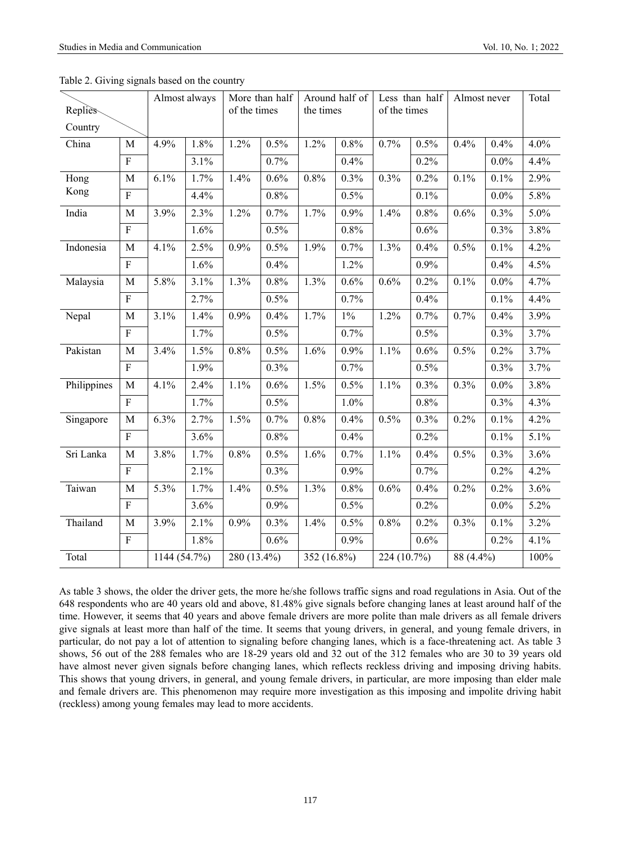| Replies<br>Country |                | Almost always |      | More than half<br>of the times |         | Around half of<br>the times |       | Less than half<br>of the times |      | Almost never |         | Total |
|--------------------|----------------|---------------|------|--------------------------------|---------|-----------------------------|-------|--------------------------------|------|--------------|---------|-------|
| China              | M              | 4.9%          | 1.8% | 1.2%                           | 0.5%    | 1.2%                        | 0.8%  | 0.7%                           | 0.5% | 0.4%         | 0.4%    | 4.0%  |
|                    | $\rm F$        |               | 3.1% |                                | 0.7%    |                             | 0.4%  |                                | 0.2% |              | $0.0\%$ | 4.4%  |
| Hong               | $\mathbf M$    | 6.1%          | 1.7% | 1.4%                           | $0.6\%$ | $0.8\%$                     | 0.3%  | 0.3%                           | 0.2% | 0.1%         | 0.1%    | 2.9%  |
| Kong               | $\overline{F}$ |               | 4.4% |                                | 0.8%    |                             | 0.5%  |                                | 0.1% |              | $0.0\%$ | 5.8%  |
| India              | M              | 3.9%          | 2.3% | 1.2%                           | 0.7%    | 1.7%                        | 0.9%  | 1.4%                           | 0.8% | 0.6%         | 0.3%    | 5.0%  |
|                    | $\overline{F}$ |               | 1.6% |                                | 0.5%    |                             | 0.8%  |                                | 0.6% |              | 0.3%    | 3.8%  |
| Indonesia          | $\mathbf M$    | 4.1%          | 2.5% | 0.9%                           | 0.5%    | 1.9%                        | 0.7%  | 1.3%                           | 0.4% | 0.5%         | 0.1%    | 4.2%  |
|                    | $\rm F$        |               | 1.6% |                                | 0.4%    |                             | 1.2%  |                                | 0.9% |              | 0.4%    | 4.5%  |
| Malaysia           | M              | 5.8%          | 3.1% | 1.3%                           | 0.8%    | 1.3%                        | 0.6%  | 0.6%                           | 0.2% | 0.1%         | $0.0\%$ | 4.7%  |
|                    | $\overline{F}$ |               | 2.7% |                                | 0.5%    |                             | 0.7%  |                                | 0.4% |              | 0.1%    | 4.4%  |
| Nepal              | $\mathbf M$    | 3.1%          | 1.4% | 0.9%                           | 0.4%    | 1.7%                        | $1\%$ | 1.2%                           | 0.7% | 0.7%         | 0.4%    | 3.9%  |
|                    | $\overline{F}$ |               | 1.7% |                                | 0.5%    |                             | 0.7%  |                                | 0.5% |              | 0.3%    | 3.7%  |
| Pakistan           | M              | 3.4%          | 1.5% | 0.8%                           | 0.5%    | 1.6%                        | 0.9%  | 1.1%                           | 0.6% | 0.5%         | 0.2%    | 3.7%  |
|                    | $\mathbf{F}$   |               | 1.9% |                                | 0.3%    |                             | 0.7%  |                                | 0.5% |              | 0.3%    | 3.7%  |
| Philippines        | M              | 4.1%          | 2.4% | 1.1%                           | 0.6%    | 1.5%                        | 0.5%  | 1.1%                           | 0.3% | 0.3%         | $0.0\%$ | 3.8%  |
|                    | $\mathbf{F}$   |               | 1.7% |                                | 0.5%    |                             | 1.0%  |                                | 0.8% |              | 0.3%    | 4.3%  |
| Singapore          | M              | 6.3%          | 2.7% | 1.5%                           | 0.7%    | 0.8%                        | 0.4%  | 0.5%                           | 0.3% | 0.2%         | 0.1%    | 4.2%  |
|                    | $\rm F$        |               | 3.6% |                                | 0.8%    |                             | 0.4%  |                                | 0.2% |              | 0.1%    | 5.1%  |
| Sri Lanka          | $\mathbf M$    | 3.8%          | 1.7% | 0.8%                           | 0.5%    | 1.6%                        | 0.7%  | 1.1%                           | 0.4% | 0.5%         | 0.3%    | 3.6%  |
|                    | ${\bf F}$      |               | 2.1% |                                | 0.3%    |                             | 0.9%  |                                | 0.7% |              | 0.2%    | 4.2%  |
| Taiwan             | $\mathbf M$    | 5.3%          | 1.7% | 1.4%                           | 0.5%    | 1.3%                        | 0.8%  | 0.6%                           | 0.4% | 0.2%         | 0.2%    | 3.6%  |
|                    | ${\bf F}$      |               | 3.6% |                                | 0.9%    |                             | 0.5%  |                                | 0.2% |              | $0.0\%$ | 5.2%  |
| Thailand           | $\mathbf M$    | 3.9%          | 2.1% | 0.9%                           | 0.3%    | 1.4%                        | 0.5%  | 0.8%                           | 0.2% | 0.3%         | 0.1%    | 3.2%  |
|                    | $\overline{F}$ |               | 1.8% |                                | 0.6%    |                             | 0.9%  |                                | 0.6% |              | 0.2%    | 4.1%  |
| Total              |                | 1144 (54.7%)  |      | 280 (13.4%)                    |         | 352 (16.8%)                 |       | 224 (10.7%)                    |      | 88 (4.4%)    |         | 100%  |

| Table 2. Giving signals based on the country |  |  |  |  |  |  |
|----------------------------------------------|--|--|--|--|--|--|
|----------------------------------------------|--|--|--|--|--|--|

As table 3 shows, the older the driver gets, the more he/she follows traffic signs and road regulations in Asia. Out of the 648 respondents who are 40 years old and above, 81.48% give signals before changing lanes at least around half of the time. However, it seems that 40 years and above female drivers are more polite than male drivers as all female drivers give signals at least more than half of the time. It seems that young drivers, in general, and young female drivers, in particular, do not pay a lot of attention to signaling before changing lanes, which is a face-threatening act. As table 3 shows, 56 out of the 288 females who are 18-29 years old and 32 out of the 312 females who are 30 to 39 years old have almost never given signals before changing lanes, which reflects reckless driving and imposing driving habits. This shows that young drivers, in general, and young female drivers, in particular, are more imposing than elder male and female drivers are. This phenomenon may require more investigation as this imposing and impolite driving habit (reckless) among young females may lead to more accidents.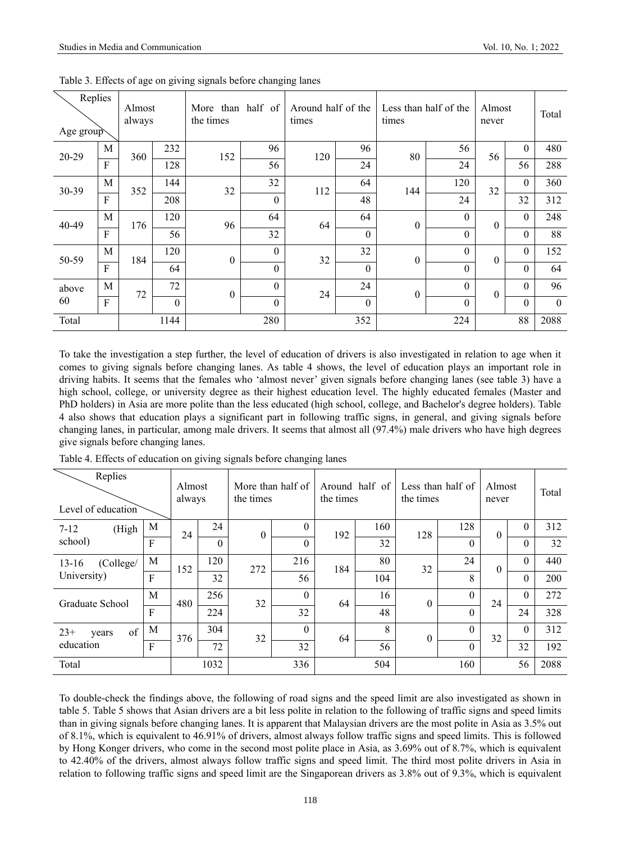|       | Replies<br>Almost<br>always<br>Age group |     |          | More than half of<br>the times |                  | Around half of the<br>times |          | Less than half of the<br>times | Almost<br>never | Total            |                  |              |
|-------|------------------------------------------|-----|----------|--------------------------------|------------------|-----------------------------|----------|--------------------------------|-----------------|------------------|------------------|--------------|
| 20-29 | M                                        | 360 | 232      | 152                            | 96               | 120                         | 96       | 80                             | 56              | 56               | $\boldsymbol{0}$ | 480          |
|       | $\mathbf{F}$                             |     | 128      |                                | 56               |                             | 24       |                                | 24              |                  | 56               | 288          |
| 30-39 | M                                        | 352 | 144      | 32                             | 32               | 112                         | 64       | 144                            | 120             | 32               | $\boldsymbol{0}$ | 360          |
|       | $\mathbf{F}$                             |     | 208      |                                | $\mathbf{0}$     |                             | 48       |                                | 24              |                  | 32               | 312          |
| 40-49 | M                                        | 176 | 120      | 96                             | 64               | 64                          | 64       | $\mathbf{0}$                   | $\mathbf{0}$    | $\boldsymbol{0}$ | $\boldsymbol{0}$ | 248          |
|       | F                                        |     | 56       |                                | 32               |                             | $\theta$ |                                | $\theta$        |                  | $\theta$         | 88           |
| 50-59 | M                                        | 184 | 120      | $\boldsymbol{0}$               | $\mathbf{0}$     | 32                          | 32       | $\theta$                       | $\theta$        | $\overline{0}$   | $\theta$         | 152          |
|       | $\mathbf{F}$                             |     | 64       |                                | $\boldsymbol{0}$ |                             | $\theta$ |                                | $\mathbf{0}$    |                  | $\overline{0}$   | 64           |
| above | M                                        | 72  | 72       | $\theta$                       | $\boldsymbol{0}$ | 24                          | 24       | $\boldsymbol{0}$               | $\mathbf{0}$    | $\theta$         | $\theta$         | 96           |
| 60    | F                                        |     | $\theta$ |                                | $\overline{0}$   |                             | $\Omega$ |                                | $\theta$        |                  | $\theta$         | $\mathbf{0}$ |
| Total |                                          |     | 1144     |                                | 280              |                             | 352      |                                | 224             |                  | 88               | 2088         |

Table 3. Effects of age on giving signals before changing lanes

To take the investigation a step further, the level of education of drivers is also investigated in relation to age when it comes to giving signals before changing lanes. As table 4 shows, the level of education plays an important role in driving habits. It seems that the females who 'almost never' given signals before changing lanes (see table 3) have a high school, college, or university degree as their highest education level. The highly educated females (Master and PhD holders) in Asia are more polite than the less educated (high school, college, and Bachelor's degree holders). Table 4 also shows that education plays a significant part in following traffic signs, in general, and giving signals before changing lanes, in particular, among male drivers. It seems that almost all (97.4%) male drivers who have high degrees give signals before changing lanes.

| Replies<br>Level of education |              | Almost<br>always |          | More than half of<br>the times |                | the times | Around half of | Less than half of<br>the times | Almost<br>never |          | Total        |      |
|-------------------------------|--------------|------------------|----------|--------------------------------|----------------|-----------|----------------|--------------------------------|-----------------|----------|--------------|------|
| (High<br>$7 - 12$             | M            | 24               | 24       | $\mathbf{0}$                   | $\theta$       | 192       | 160            | 128                            | 128             | $\theta$ | $\theta$     | 312  |
| school)                       | F            |                  | $\theta$ |                                | $\theta$       |           | 32             |                                | $\theta$        |          | $\theta$     | 32   |
| (College/<br>$13 - 16$        | M            | 152              | 120      | 272                            | 216            | 184       | 80             | 32                             | 24              | $\theta$ | $\theta$     | 440  |
| University)                   | $\mathbf{F}$ |                  | 32       |                                | 56             |           | 104            |                                | 8               |          | $\theta$     | 200  |
| Graduate School               | M            | 480              | 256      | 32                             | $\overline{0}$ | 64        | 16             | $\theta$                       | $\theta$        | 24       | $\mathbf{0}$ | 272  |
|                               | $\mathbf{F}$ |                  | 224      |                                | 32             |           | 48             |                                | $\theta$        |          | 24           | 328  |
| of<br>$23+$<br>years          | M            | 376              | 304      | 32                             | $\theta$       | 64        | 8              | $\Omega$                       | $\theta$        | 32       | $\theta$     | 312  |
| education                     | $\mathbf{F}$ |                  | 72       |                                | 32             |           | 56             |                                | $\theta$        |          | 32           | 192  |
| Total                         |              |                  | 1032     |                                | 336            |           | 504            |                                | 160             |          | 56           | 2088 |

Table 4. Effects of education on giving signals before changing lanes

To double-check the findings above, the following of road signs and the speed limit are also investigated as shown in table 5. Table 5 shows that Asian drivers are a bit less polite in relation to the following of traffic signs and speed limits than in giving signals before changing lanes. It is apparent that Malaysian drivers are the most polite in Asia as 3.5% out of 8.1%, which is equivalent to 46.91% of drivers, almost always follow traffic signs and speed limits. This is followed by Hong Konger drivers, who come in the second most polite place in Asia, as 3.69% out of 8.7%, which is equivalent to 42.40% of the drivers, almost always follow traffic signs and speed limit. The third most polite drivers in Asia in relation to following traffic signs and speed limit are the Singaporean drivers as 3.8% out of 9.3%, which is equivalent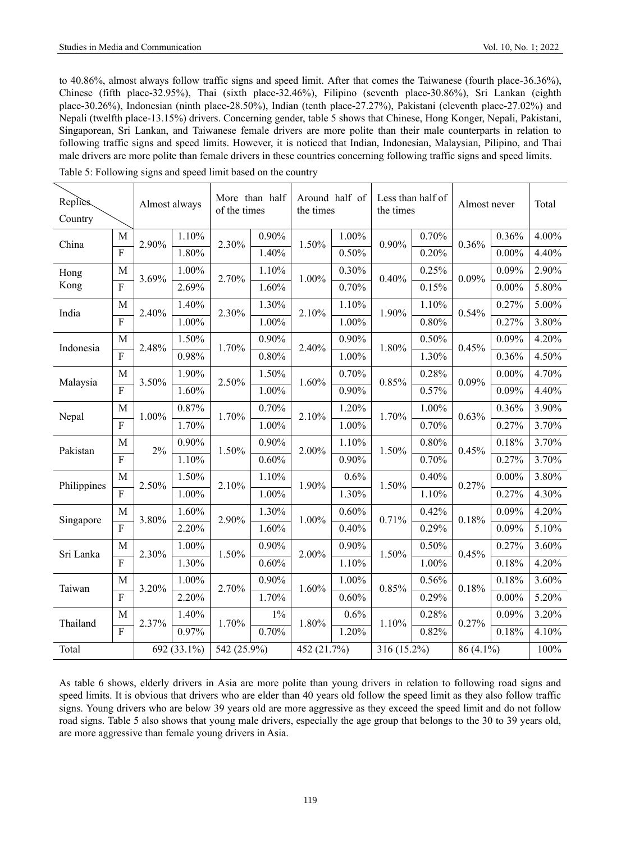to 40.86%, almost always follow traffic signs and speed limit. After that comes the Taiwanese (fourth place-36.36%), Chinese (fifth place-32.95%), Thai (sixth place-32.46%), Filipino (seventh place-30.86%), Sri Lankan (eighth place-30.26%), Indonesian (ninth place-28.50%), Indian (tenth place-27.27%), Pakistani (eleventh place-27.02%) and Nepali (twelfth place-13.15%) drivers. Concerning gender, table 5 shows that Chinese, Hong Konger, Nepali, Pakistani, Singaporean, Sri Lankan, and Taiwanese female drivers are more polite than their male counterparts in relation to following traffic signs and speed limits. However, it is noticed that Indian, Indonesian, Malaysian, Pilipino, and Thai male drivers are more polite than female drivers in these countries concerning following traffic signs and speed limits.

| Replies<br>Country |                         | Almost always |             | More than half<br>of the times |          | the times   | Around half of | Less than half of<br>the times |          | Almost never | Total    |       |
|--------------------|-------------------------|---------------|-------------|--------------------------------|----------|-------------|----------------|--------------------------------|----------|--------------|----------|-------|
| China              | M                       | 2.90%         | 1.10%       | 2.30%                          | 0.90%    | 1.50%       | 1.00%          | 0.90%                          | 0.70%    | 0.36%        | 0.36%    | 4.00% |
|                    | $\overline{F}$          |               | 1.80%       |                                | 1.40%    |             | $0.50\%$       |                                | 0.20%    |              | $0.00\%$ | 4.40% |
| Hong               | M                       | 3.69%         | $1.00\%$    | 2.70%                          | 1.10%    | $1.00\%$    | 0.30%          | 0.40%                          | 0.25%    | 0.09%        | 0.09%    | 2.90% |
| Kong               | $\overline{F}$          |               | 2.69%       |                                | 1.60%    |             | 0.70%          |                                | 0.15%    |              | $0.00\%$ | 5.80% |
| India              | M                       | 2.40%         | 1.40%       | 2.30%                          | 1.30%    | 2.10%       | 1.10%          | 1.90%                          | 1.10%    | 0.54%        | 0.27%    | 5.00% |
|                    | ${\bf F}$               |               | 1.00%       |                                | 1.00%    |             | 1.00%          |                                | 0.80%    |              | 0.27%    | 3.80% |
| Indonesia          | M                       | 2.48%         | 1.50%       | 1.70%                          | 0.90%    | 2.40%       | $0.90\%$       | 1.80%                          | 0.50%    | 0.45%        | 0.09%    | 4.20% |
|                    | $\overline{F}$          |               | 0.98%       |                                | 0.80%    |             | 1.00%          |                                | 1.30%    |              | 0.36%    | 4.50% |
| Malaysia           | M                       | 3.50%         | 1.90%       | 2.50%                          | 1.50%    | 1.60%       | 0.70%          | 0.85%                          | 0.28%    | 0.09%        | $0.00\%$ | 4.70% |
|                    | $\overline{F}$          |               | 1.60%       |                                | 1.00%    |             | 0.90%          |                                | 0.57%    |              | 0.09%    | 4.40% |
| Nepal              | M                       | 1.00%         | 0.87%       | 1.70%                          | 0.70%    | 2.10%       | 1.20%          | 1.70%                          | 1.00%    | 0.63%        | 0.36%    | 3.90% |
|                    | $\overline{\mathrm{F}}$ |               | 1.70%       |                                | $1.00\%$ |             | 1.00%          |                                | 0.70%    |              | 0.27%    | 3.70% |
| Pakistan           | M                       | $2\%$         | 0.90%       | 1.50%                          | 0.90%    | 2.00%       | 1.10%          | 1.50%                          | 0.80%    | 0.45%        | 0.18%    | 3.70% |
|                    | $\overline{F}$          |               | 1.10%       |                                | $0.60\%$ |             | 0.90%          |                                | 0.70%    |              | 0.27%    | 3.70% |
| Philippines        | M                       | 2.50%         | 1.50%       | 2.10%                          | 1.10%    | 1.90%       | 0.6%           | 1.50%                          | 0.40%    | 0.27%        | $0.00\%$ | 3.80% |
|                    | $\overline{\mathrm{F}}$ |               | $1.00\%$    |                                | $1.00\%$ |             | 1.30%          |                                | 1.10%    |              | 0.27%    | 4.30% |
| Singapore          | M                       | 3.80%         | 1.60%       | 2.90%                          | 1.30%    | 1.00%       | 0.60%          | 0.71%                          | 0.42%    | 0.18%        | 0.09%    | 4.20% |
|                    | $\overline{F}$          |               | 2.20%       |                                | 1.60%    |             | 0.40%          |                                | 0.29%    |              | 0.09%    | 5.10% |
| Sri Lanka          | M                       | 2.30%         | 1.00%       | 1.50%                          | 0.90%    | 2.00%       | $0.90\%$       | 1.50%                          | 0.50%    | 0.45%        | 0.27%    | 3.60% |
|                    | $\overline{F}$          |               | 1.30%       |                                | 0.60%    |             | 1.10%          |                                | 1.00%    |              | 0.18%    | 4.20% |
| Taiwan             | M                       | 3.20%         | $1.00\%$    | 2.70%                          | 0.90%    | 1.60%       | 1.00%          | 0.85%                          | 0.56%    | 0.18%        | 0.18%    | 3.60% |
|                    | $\overline{F}$          |               | 2.20%       |                                | 1.70%    |             | 0.60%          |                                | $0.29\%$ |              | $0.00\%$ | 5.20% |
| Thailand           | M                       | 2.37%         | 1.40%       | 1.70%                          | $1\%$    | 1.80%       | 0.6%           | 1.10%                          | 0.28%    | 0.27%        | 0.09%    | 3.20% |
|                    | $\overline{F}$          |               | 0.97%       |                                | 0.70%    |             | 1.20%          |                                | 0.82%    |              | 0.18%    | 4.10% |
| Total              |                         |               | 692 (33.1%) | 542 (25.9%)                    |          | 452 (21.7%) |                | 316 (15.2%)                    |          | 86 (4.1%)    |          | 100%  |

Table 5: Following signs and speed limit based on the country

As table 6 shows, elderly drivers in Asia are more polite than young drivers in relation to following road signs and speed limits. It is obvious that drivers who are elder than 40 years old follow the speed limit as they also follow traffic signs. Young drivers who are below 39 years old are more aggressive as they exceed the speed limit and do not follow road signs. Table 5 also shows that young male drivers, especially the age group that belongs to the 30 to 39 years old, are more aggressive than female young drivers in Asia.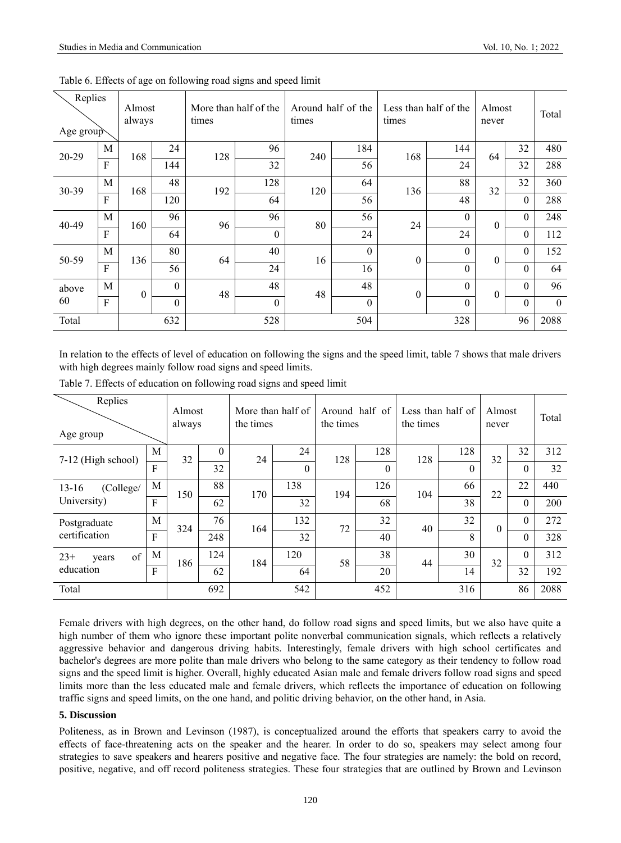| Replies<br>Age group |   | Almost<br>always |          | More than half of the<br>times |              | times | Around half of the | Less than half of the<br>times |                | Almost<br>never  | Total            |          |
|----------------------|---|------------------|----------|--------------------------------|--------------|-------|--------------------|--------------------------------|----------------|------------------|------------------|----------|
| 20-29                | M | 168              | 24       | 128                            | 96           | 240   | 184                | 168                            | 144            | 64               | 32               | 480      |
|                      | F |                  | 144      |                                | 32           |       | 56                 |                                | 24             |                  | 32               | 288      |
| 30-39                | M | 168              | 48       | 192                            | 128          | 120   | 64                 | 136                            | 88             | 32               | 32               | 360      |
|                      | F |                  | 120      |                                | 64           |       | 56                 |                                | 48             |                  | $\boldsymbol{0}$ | 288      |
| 40-49                | M | 160              | 96       | 96                             | 96           | 80    | 56                 | 24                             | $\theta$       | $\boldsymbol{0}$ | $\boldsymbol{0}$ | 248      |
|                      | F |                  | 64       |                                | $\mathbf{0}$ |       | 24                 |                                | 24             |                  | $\theta$         | 112      |
| 50-59                | M | 136              | 80       | 64                             | 40           | 16    | $\Omega$           | $\theta$                       | $\theta$       | $\boldsymbol{0}$ | $\boldsymbol{0}$ | 152      |
|                      | F |                  | 56       |                                | 24           |       | 16                 |                                | $\mathbf{0}$   |                  | $\mathbf{0}$     | 64       |
| above                | M | $\mathbf{0}$     | $\theta$ | 48                             | 48           | 48    | 48                 | $\boldsymbol{0}$               | $\theta$       | $\boldsymbol{0}$ | $\theta$         | 96       |
| 60                   | F |                  | $\Omega$ |                                | $\mathbf{0}$ |       | $\Omega$           |                                | $\overline{0}$ |                  | $\theta$         | $\theta$ |
| Total                |   |                  | 632      |                                | 528          |       | 504                |                                | 328            |                  | 96               | 2088     |

Table 6. Effects of age on following road signs and speed limit

In relation to the effects of level of education on following the signs and the speed limit, table 7 shows that male drivers with high degrees mainly follow road signs and speed limits.

| Replies<br>Age group |              | Almost<br>always |          | More than half of<br>the times |                | the times | Around half of | Less than half of<br>the times |          | Almost<br>never |                  | Total |
|----------------------|--------------|------------------|----------|--------------------------------|----------------|-----------|----------------|--------------------------------|----------|-----------------|------------------|-------|
| 7-12 (High school)   | M            | 32               | $\theta$ | 24                             | 24             | 128       | 128            | 128                            | 128      | 32              | 32               | 312   |
|                      | $_{\rm F}$   |                  | 32       |                                | $\overline{0}$ |           | $\theta$       |                                | $\theta$ |                 | $\theta$         | 32    |
| (College/<br>$13-16$ | $\mathbf{M}$ | 150              | 88       | 170                            | 138            | 194       | 126            | 104                            | 66       | 22              | 22               | 440   |
| University)          | F            |                  | 62       |                                | 32             |           | 68             |                                | 38       |                 | $\theta$         | 200   |
| Postgraduate         | M            | 324              | 76       | 164                            | 132            | 72        | 32             | 40                             | 32       | $\theta$        | $\boldsymbol{0}$ | 272   |
| certification        | F            |                  | 248      |                                | 32             |           | 40             |                                | 8        |                 | $\theta$         | 328   |
| of<br>$23+$<br>years | M            | 186              | 124      | 184                            | 120            | 58        | 38             | 44                             | 30       | 32              | $\theta$         | 312   |
| education            | F            |                  | 62       |                                | 64             |           | 20             |                                | 14       |                 | 32               | 192   |
| Total                |              |                  | 692      |                                | 542            |           | 452            |                                | 316      |                 | 86               | 2088  |

Table 7. Effects of education on following road signs and speed limit

Female drivers with high degrees, on the other hand, do follow road signs and speed limits, but we also have quite a high number of them who ignore these important polite nonverbal communication signals, which reflects a relatively aggressive behavior and dangerous driving habits. Interestingly, female drivers with high school certificates and bachelor's degrees are more polite than male drivers who belong to the same category as their tendency to follow road signs and the speed limit is higher. Overall, highly educated Asian male and female drivers follow road signs and speed limits more than the less educated male and female drivers, which reflects the importance of education on following traffic signs and speed limits, on the one hand, and politic driving behavior, on the other hand, in Asia.

#### **5. Discussion**

Politeness, as in Brown and Levinson (1987), is conceptualized around the efforts that speakers carry to avoid the effects of face-threatening acts on the speaker and the hearer. In order to do so, speakers may select among four strategies to save speakers and hearers positive and negative face. The four strategies are namely: the bold on record, positive, negative, and off record politeness strategies. These four strategies that are outlined by Brown and Levinson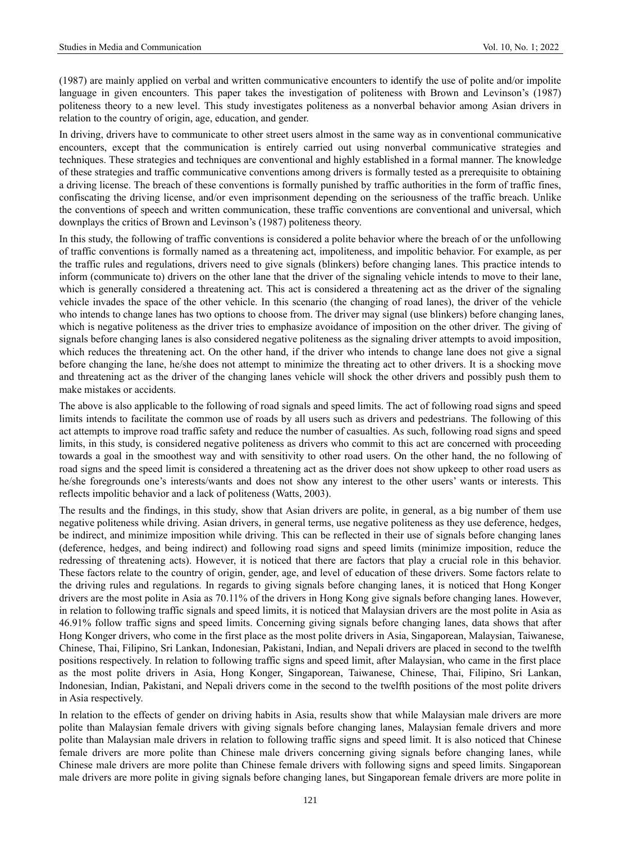(1987) are mainly applied on verbal and written communicative encounters to identify the use of polite and/or impolite language in given encounters. This paper takes the investigation of politeness with Brown and Levinson's (1987) politeness theory to a new level. This study investigates politeness as a nonverbal behavior among Asian drivers in relation to the country of origin, age, education, and gender.

In driving, drivers have to communicate to other street users almost in the same way as in conventional communicative encounters, except that the communication is entirely carried out using nonverbal communicative strategies and techniques. These strategies and techniques are conventional and highly established in a formal manner. The knowledge of these strategies and traffic communicative conventions among drivers is formally tested as a prerequisite to obtaining a driving license. The breach of these conventions is formally punished by traffic authorities in the form of traffic fines, confiscating the driving license, and/or even imprisonment depending on the seriousness of the traffic breach. Unlike the conventions of speech and written communication, these traffic conventions are conventional and universal, which downplays the critics of Brown and Levinson's (1987) politeness theory.

In this study, the following of traffic conventions is considered a polite behavior where the breach of or the unfollowing of traffic conventions is formally named as a threatening act, impoliteness, and impolitic behavior. For example, as per the traffic rules and regulations, drivers need to give signals (blinkers) before changing lanes. This practice intends to inform (communicate to) drivers on the other lane that the driver of the signaling vehicle intends to move to their lane, which is generally considered a threatening act. This act is considered a threatening act as the driver of the signaling vehicle invades the space of the other vehicle. In this scenario (the changing of road lanes), the driver of the vehicle who intends to change lanes has two options to choose from. The driver may signal (use blinkers) before changing lanes, which is negative politeness as the driver tries to emphasize avoidance of imposition on the other driver. The giving of signals before changing lanes is also considered negative politeness as the signaling driver attempts to avoid imposition, which reduces the threatening act. On the other hand, if the driver who intends to change lane does not give a signal before changing the lane, he/she does not attempt to minimize the threating act to other drivers. It is a shocking move and threatening act as the driver of the changing lanes vehicle will shock the other drivers and possibly push them to make mistakes or accidents.

The above is also applicable to the following of road signals and speed limits. The act of following road signs and speed limits intends to facilitate the common use of roads by all users such as drivers and pedestrians. The following of this act attempts to improve road traffic safety and reduce the number of casualties. As such, following road signs and speed limits, in this study, is considered negative politeness as drivers who commit to this act are concerned with proceeding towards a goal in the smoothest way and with sensitivity to other road users. On the other hand, the no following of road signs and the speed limit is considered a threatening act as the driver does not show upkeep to other road users as he/she foregrounds one's interests/wants and does not show any interest to the other users' wants or interests. This reflects impolitic behavior and a lack of politeness (Watts, 2003).

The results and the findings, in this study, show that Asian drivers are polite, in general, as a big number of them use negative politeness while driving. Asian drivers, in general terms, use negative politeness as they use deference, hedges, be indirect, and minimize imposition while driving. This can be reflected in their use of signals before changing lanes (deference, hedges, and being indirect) and following road signs and speed limits (minimize imposition, reduce the redressing of threatening acts). However, it is noticed that there are factors that play a crucial role in this behavior. These factors relate to the country of origin, gender, age, and level of education of these drivers. Some factors relate to the driving rules and regulations. In regards to giving signals before changing lanes, it is noticed that Hong Konger drivers are the most polite in Asia as 70.11% of the drivers in Hong Kong give signals before changing lanes. However, in relation to following traffic signals and speed limits, it is noticed that Malaysian drivers are the most polite in Asia as 46.91% follow traffic signs and speed limits. Concerning giving signals before changing lanes, data shows that after Hong Konger drivers, who come in the first place as the most polite drivers in Asia, Singaporean, Malaysian, Taiwanese, Chinese, Thai, Filipino, Sri Lankan, Indonesian, Pakistani, Indian, and Nepali drivers are placed in second to the twelfth positions respectively. In relation to following traffic signs and speed limit, after Malaysian, who came in the first place as the most polite drivers in Asia, Hong Konger, Singaporean, Taiwanese, Chinese, Thai, Filipino, Sri Lankan, Indonesian, Indian, Pakistani, and Nepali drivers come in the second to the twelfth positions of the most polite drivers in Asia respectively.

In relation to the effects of gender on driving habits in Asia, results show that while Malaysian male drivers are more polite than Malaysian female drivers with giving signals before changing lanes, Malaysian female drivers and more polite than Malaysian male drivers in relation to following traffic signs and speed limit. It is also noticed that Chinese female drivers are more polite than Chinese male drivers concerning giving signals before changing lanes, while Chinese male drivers are more polite than Chinese female drivers with following signs and speed limits. Singaporean male drivers are more polite in giving signals before changing lanes, but Singaporean female drivers are more polite in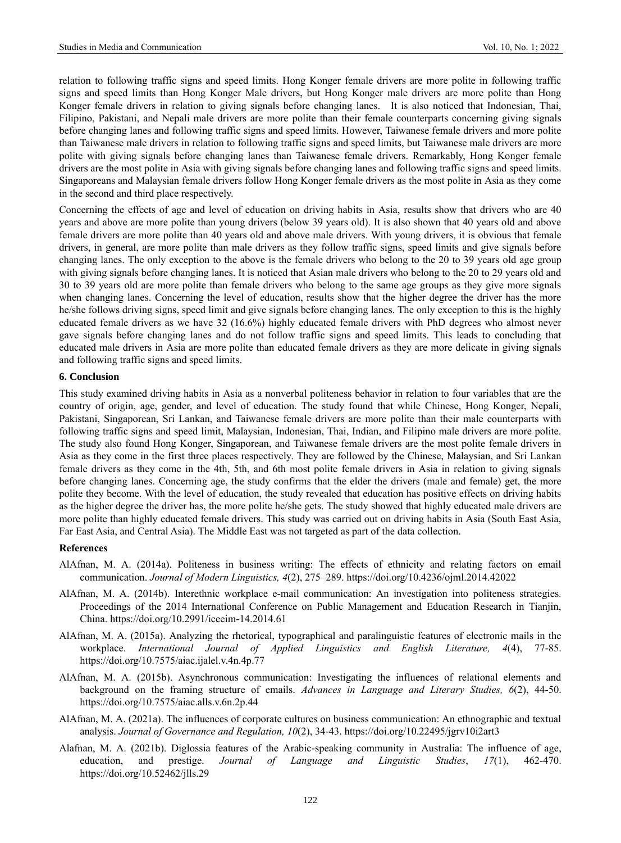relation to following traffic signs and speed limits. Hong Konger female drivers are more polite in following traffic signs and speed limits than Hong Konger Male drivers, but Hong Konger male drivers are more polite than Hong Konger female drivers in relation to giving signals before changing lanes. It is also noticed that Indonesian, Thai, Filipino, Pakistani, and Nepali male drivers are more polite than their female counterparts concerning giving signals before changing lanes and following traffic signs and speed limits. However, Taiwanese female drivers and more polite than Taiwanese male drivers in relation to following traffic signs and speed limits, but Taiwanese male drivers are more polite with giving signals before changing lanes than Taiwanese female drivers. Remarkably, Hong Konger female drivers are the most polite in Asia with giving signals before changing lanes and following traffic signs and speed limits. Singaporeans and Malaysian female drivers follow Hong Konger female drivers as the most polite in Asia as they come in the second and third place respectively.

Concerning the effects of age and level of education on driving habits in Asia, results show that drivers who are 40 years and above are more polite than young drivers (below 39 years old). It is also shown that 40 years old and above female drivers are more polite than 40 years old and above male drivers. With young drivers, it is obvious that female drivers, in general, are more polite than male drivers as they follow traffic signs, speed limits and give signals before changing lanes. The only exception to the above is the female drivers who belong to the 20 to 39 years old age group with giving signals before changing lanes. It is noticed that Asian male drivers who belong to the 20 to 29 years old and 30 to 39 years old are more polite than female drivers who belong to the same age groups as they give more signals when changing lanes. Concerning the level of education, results show that the higher degree the driver has the more he/she follows driving signs, speed limit and give signals before changing lanes. The only exception to this is the highly educated female drivers as we have 32 (16.6%) highly educated female drivers with PhD degrees who almost never gave signals before changing lanes and do not follow traffic signs and speed limits. This leads to concluding that educated male drivers in Asia are more polite than educated female drivers as they are more delicate in giving signals and following traffic signs and speed limits.

#### **6. Conclusion**

This study examined driving habits in Asia as a nonverbal politeness behavior in relation to four variables that are the country of origin, age, gender, and level of education. The study found that while Chinese, Hong Konger, Nepali, Pakistani, Singaporean, Sri Lankan, and Taiwanese female drivers are more polite than their male counterparts with following traffic signs and speed limit, Malaysian, Indonesian, Thai, Indian, and Filipino male drivers are more polite. The study also found Hong Konger, Singaporean, and Taiwanese female drivers are the most polite female drivers in Asia as they come in the first three places respectively. They are followed by the Chinese, Malaysian, and Sri Lankan female drivers as they come in the 4th, 5th, and 6th most polite female drivers in Asia in relation to giving signals before changing lanes. Concerning age, the study confirms that the elder the drivers (male and female) get, the more polite they become. With the level of education, the study revealed that education has positive effects on driving habits as the higher degree the driver has, the more polite he/she gets. The study showed that highly educated male drivers are more polite than highly educated female drivers. This study was carried out on driving habits in Asia (South East Asia, Far East Asia, and Central Asia). The Middle East was not targeted as part of the data collection.

#### **References**

- AlAfnan, M. A. (2014a). Politeness in business writing: The effects of ethnicity and relating factors on email communication. *Journal of Modern Linguistics, 4*(2), 275–289. https://doi.org/10.4236/ojml.2014.42022
- AlAfnan, M. A. (2014b). Interethnic workplace e-mail communication: An investigation into politeness strategies. Proceedings of the 2014 International Conference on Public Management and Education Research in Tianjin, China. https://doi.org/10.2991/iceeim-14.2014.61
- AlAfnan, M. A. (2015a). Analyzing the rhetorical, typographical and paralinguistic features of electronic mails in the workplace. *International Journal of Applied Linguistics and English Literature, 4*(4), 77-85. <https://doi.org/10.7575/aiac.ijalel.v.4n.4p.77>
- AlAfnan, M. A. (2015b). Asynchronous communication: Investigating the influences of relational elements and background on the framing structure of emails. *Advances in Language and Literary Studies, 6*(2), 44-50. <https://doi.org/10.7575/aiac.alls.v.6n.2p.44>
- AlAfnan, M. A. (2021a). The influences of corporate cultures on business communication: An ethnographic and textual analysis. *Journal of Governance and Regulation, 10*(2), 34-43[. https://doi.org/10.22495/jgrv10i2art3](https://doi.org/10.22495/jgrv10i2art3)
- Alafnan, M. A. (2021b). Diglossia features of the Arabic-speaking community in Australia: The influence of age, education, and prestige. *Journal of Language and Linguistic Studies*, *17*(1), 462-470. <https://doi.org/10.52462/jlls.29>